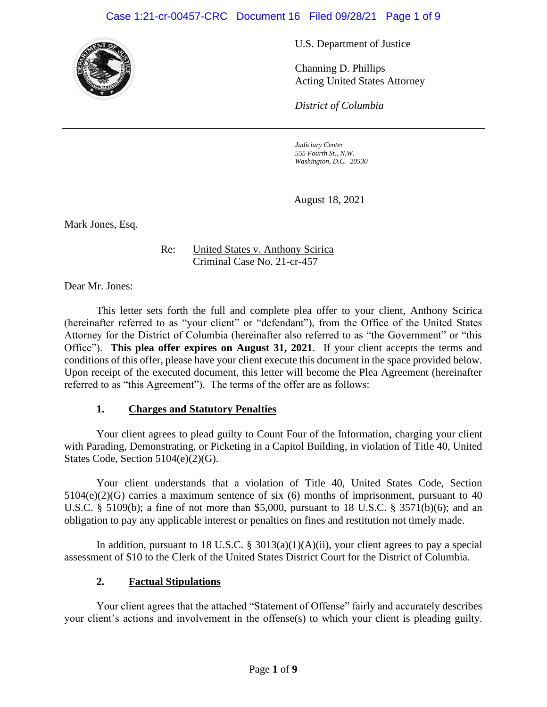### Case 1:21-cr-00457-CRC Document 16 Filed 09/28/21 Page 1 of 9



U.S. Department of Justice

Channing D. Phillips Acting United States Attorney

*District of Columbia*

*Judiciary Center 555 Fourth St., N.W. Washington, D.C. 20530*

August 18, 2021

Mark Jones, Esq.

Re: United States v. Anthony Scirica Criminal Case No. 21-cr-457

Dear Mr. Jones:

This letter sets forth the full and complete plea offer to your client, Anthony Scirica (hereinafter referred to as "your client" or "defendant"), from the Office of the United States Attorney for the District of Columbia (hereinafter also referred to as "the Government" or "this Office"). **This plea offer expires on August 31, 2021**. If your client accepts the terms and conditions of this offer, please have your client execute this document in the space provided below. Upon receipt of the executed document, this letter will become the Plea Agreement (hereinafter referred to as "this Agreement"). The terms of the offer are as follows:

#### **1. Charges and Statutory Penalties**

Your client agrees to plead guilty to Count Four of the Information, charging your client with Parading, Demonstrating, or Picketing in a Capitol Building, in violation of Title 40, United States Code, Section 5104(e)(2)(G).

Your client understands that a violation of Title 40, United States Code, Section 5104(e)(2)(G) carries a maximum sentence of six (6) months of imprisonment, pursuant to 40 U.S.C. § 5109(b); a fine of not more than \$5,000, pursuant to 18 U.S.C. § 3571(b)(6); and an obligation to pay any applicable interest or penalties on fines and restitution not timely made.

In addition, pursuant to 18 U.S.C. § 3013(a)(1)(A)(ii), your client agrees to pay a special assessment of \$10 to the Clerk of the United States District Court for the District of Columbia.

#### **2. Factual Stipulations**

Your client agrees that the attached "Statement of Offense" fairly and accurately describes your client's actions and involvement in the offense(s) to which your client is pleading guilty.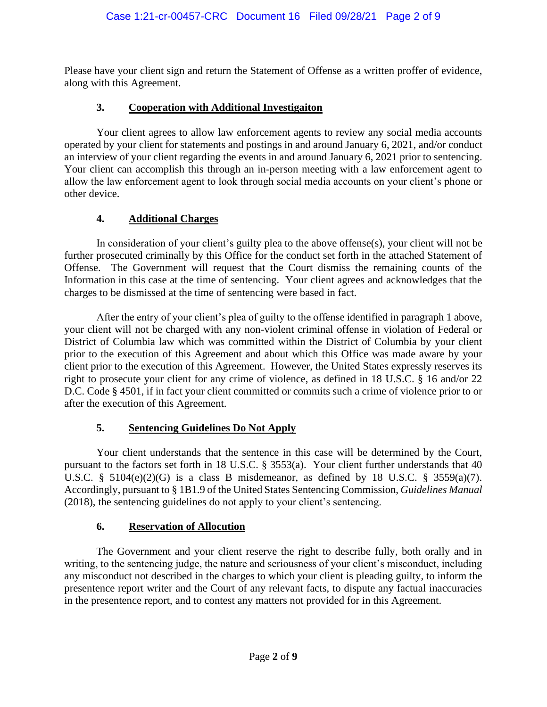Please have your client sign and return the Statement of Offense as a written proffer of evidence, along with this Agreement.

## **3. Cooperation with Additional Investigaiton**

Your client agrees to allow law enforcement agents to review any social media accounts operated by your client for statements and postings in and around January 6, 2021, and/or conduct an interview of your client regarding the events in and around January 6, 2021 prior to sentencing. Your client can accomplish this through an in-person meeting with a law enforcement agent to allow the law enforcement agent to look through social media accounts on your client's phone or other device.

## **4. Additional Charges**

In consideration of your client's guilty plea to the above offense(s), your client will not be further prosecuted criminally by this Office for the conduct set forth in the attached Statement of Offense. The Government will request that the Court dismiss the remaining counts of the Information in this case at the time of sentencing. Your client agrees and acknowledges that the charges to be dismissed at the time of sentencing were based in fact.

After the entry of your client's plea of guilty to the offense identified in paragraph 1 above, your client will not be charged with any non-violent criminal offense in violation of Federal or District of Columbia law which was committed within the District of Columbia by your client prior to the execution of this Agreement and about which this Office was made aware by your client prior to the execution of this Agreement. However, the United States expressly reserves its right to prosecute your client for any crime of violence, as defined in 18 U.S.C. § 16 and/or 22 D.C. Code § 4501, if in fact your client committed or commits such a crime of violence prior to or after the execution of this Agreement.

### **5. Sentencing Guidelines Do Not Apply**

Your client understands that the sentence in this case will be determined by the Court, pursuant to the factors set forth in 18 U.S.C. § 3553(a). Your client further understands that 40 U.S.C.  $\S$  5104(e)(2)(G) is a class B misdemeanor, as defined by 18 U.S.C.  $\S$  3559(a)(7). Accordingly, pursuant to § 1B1.9 of the United States Sentencing Commission, *Guidelines Manual* (2018), the sentencing guidelines do not apply to your client's sentencing.

### **6. Reservation of Allocution**

The Government and your client reserve the right to describe fully, both orally and in writing, to the sentencing judge, the nature and seriousness of your client's misconduct, including any misconduct not described in the charges to which your client is pleading guilty, to inform the presentence report writer and the Court of any relevant facts, to dispute any factual inaccuracies in the presentence report, and to contest any matters not provided for in this Agreement.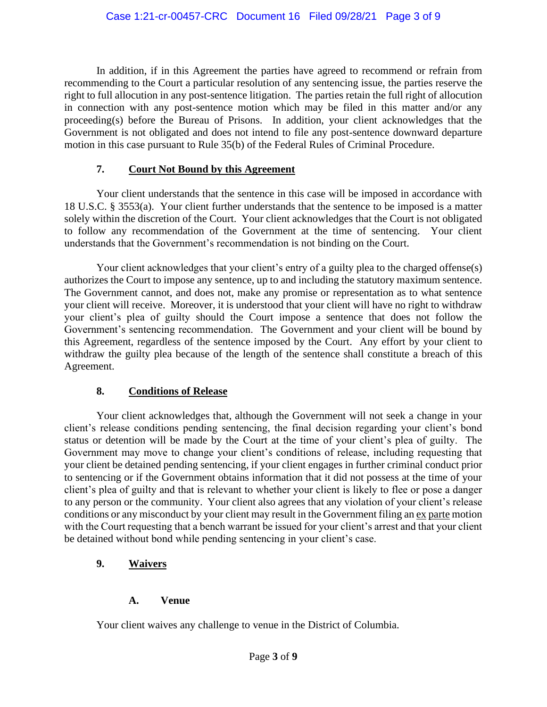In addition, if in this Agreement the parties have agreed to recommend or refrain from recommending to the Court a particular resolution of any sentencing issue, the parties reserve the right to full allocution in any post-sentence litigation. The parties retain the full right of allocution in connection with any post-sentence motion which may be filed in this matter and/or any proceeding(s) before the Bureau of Prisons. In addition, your client acknowledges that the Government is not obligated and does not intend to file any post-sentence downward departure motion in this case pursuant to Rule 35(b) of the Federal Rules of Criminal Procedure.

## **7. Court Not Bound by this Agreement**

Your client understands that the sentence in this case will be imposed in accordance with 18 U.S.C. § 3553(a). Your client further understands that the sentence to be imposed is a matter solely within the discretion of the Court. Your client acknowledges that the Court is not obligated to follow any recommendation of the Government at the time of sentencing. Your client understands that the Government's recommendation is not binding on the Court.

Your client acknowledges that your client's entry of a guilty plea to the charged offense(s) authorizes the Court to impose any sentence, up to and including the statutory maximum sentence. The Government cannot, and does not, make any promise or representation as to what sentence your client will receive. Moreover, it is understood that your client will have no right to withdraw your client's plea of guilty should the Court impose a sentence that does not follow the Government's sentencing recommendation. The Government and your client will be bound by this Agreement, regardless of the sentence imposed by the Court. Any effort by your client to withdraw the guilty plea because of the length of the sentence shall constitute a breach of this Agreement.

### **8. Conditions of Release**

Your client acknowledges that, although the Government will not seek a change in your client's release conditions pending sentencing, the final decision regarding your client's bond status or detention will be made by the Court at the time of your client's plea of guilty. The Government may move to change your client's conditions of release, including requesting that your client be detained pending sentencing, if your client engages in further criminal conduct prior to sentencing or if the Government obtains information that it did not possess at the time of your client's plea of guilty and that is relevant to whether your client is likely to flee or pose a danger to any person or the community. Your client also agrees that any violation of your client's release conditions or any misconduct by your client may result in the Government filing an ex parte motion with the Court requesting that a bench warrant be issued for your client's arrest and that your client be detained without bond while pending sentencing in your client's case.

# **9. Waivers**

# **A. Venue**

Your client waives any challenge to venue in the District of Columbia.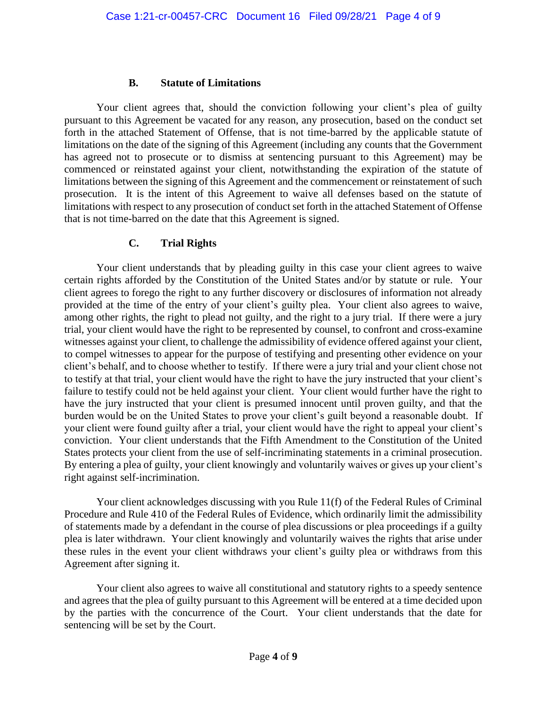#### **B. Statute of Limitations**

Your client agrees that, should the conviction following your client's plea of guilty pursuant to this Agreement be vacated for any reason, any prosecution, based on the conduct set forth in the attached Statement of Offense, that is not time-barred by the applicable statute of limitations on the date of the signing of this Agreement (including any counts that the Government has agreed not to prosecute or to dismiss at sentencing pursuant to this Agreement) may be commenced or reinstated against your client, notwithstanding the expiration of the statute of limitations between the signing of this Agreement and the commencement or reinstatement of such prosecution. It is the intent of this Agreement to waive all defenses based on the statute of limitations with respect to any prosecution of conduct set forth in the attached Statement of Offense that is not time-barred on the date that this Agreement is signed.

### **C. Trial Rights**

Your client understands that by pleading guilty in this case your client agrees to waive certain rights afforded by the Constitution of the United States and/or by statute or rule. Your client agrees to forego the right to any further discovery or disclosures of information not already provided at the time of the entry of your client's guilty plea. Your client also agrees to waive, among other rights, the right to plead not guilty, and the right to a jury trial. If there were a jury trial, your client would have the right to be represented by counsel, to confront and cross-examine witnesses against your client, to challenge the admissibility of evidence offered against your client, to compel witnesses to appear for the purpose of testifying and presenting other evidence on your client's behalf, and to choose whether to testify. If there were a jury trial and your client chose not to testify at that trial, your client would have the right to have the jury instructed that your client's failure to testify could not be held against your client. Your client would further have the right to have the jury instructed that your client is presumed innocent until proven guilty, and that the burden would be on the United States to prove your client's guilt beyond a reasonable doubt. If your client were found guilty after a trial, your client would have the right to appeal your client's conviction. Your client understands that the Fifth Amendment to the Constitution of the United States protects your client from the use of self-incriminating statements in a criminal prosecution. By entering a plea of guilty, your client knowingly and voluntarily waives or gives up your client's right against self-incrimination.

Your client acknowledges discussing with you Rule 11(f) of the Federal Rules of Criminal Procedure and Rule 410 of the Federal Rules of Evidence, which ordinarily limit the admissibility of statements made by a defendant in the course of plea discussions or plea proceedings if a guilty plea is later withdrawn. Your client knowingly and voluntarily waives the rights that arise under these rules in the event your client withdraws your client's guilty plea or withdraws from this Agreement after signing it.

Your client also agrees to waive all constitutional and statutory rights to a speedy sentence and agrees that the plea of guilty pursuant to this Agreement will be entered at a time decided upon by the parties with the concurrence of the Court. Your client understands that the date for sentencing will be set by the Court.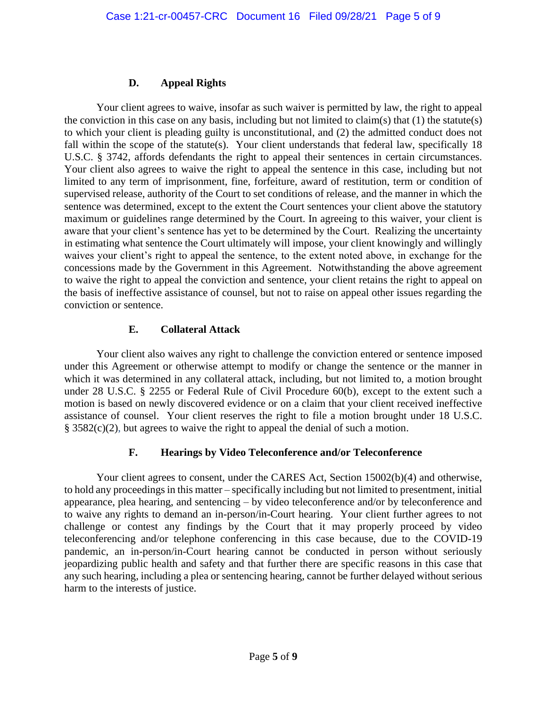## **D. Appeal Rights**

Your client agrees to waive, insofar as such waiver is permitted by law, the right to appeal the conviction in this case on any basis, including but not limited to claim(s) that (1) the statute(s) to which your client is pleading guilty is unconstitutional, and (2) the admitted conduct does not fall within the scope of the statute(s). Your client understands that federal law, specifically 18 U.S.C. § 3742, affords defendants the right to appeal their sentences in certain circumstances. Your client also agrees to waive the right to appeal the sentence in this case, including but not limited to any term of imprisonment, fine, forfeiture, award of restitution, term or condition of supervised release, authority of the Court to set conditions of release, and the manner in which the sentence was determined, except to the extent the Court sentences your client above the statutory maximum or guidelines range determined by the Court. In agreeing to this waiver, your client is aware that your client's sentence has yet to be determined by the Court. Realizing the uncertainty in estimating what sentence the Court ultimately will impose, your client knowingly and willingly waives your client's right to appeal the sentence, to the extent noted above, in exchange for the concessions made by the Government in this Agreement. Notwithstanding the above agreement to waive the right to appeal the conviction and sentence, your client retains the right to appeal on the basis of ineffective assistance of counsel, but not to raise on appeal other issues regarding the conviction or sentence.

## **E. Collateral Attack**

Your client also waives any right to challenge the conviction entered or sentence imposed under this Agreement or otherwise attempt to modify or change the sentence or the manner in which it was determined in any collateral attack, including, but not limited to, a motion brought under 28 U.S.C. § 2255 or Federal Rule of Civil Procedure 60(b), except to the extent such a motion is based on newly discovered evidence or on a claim that your client received ineffective assistance of counsel. Your client reserves the right to file a motion brought under 18 U.S.C. § 3582(c)(2), but agrees to waive the right to appeal the denial of such a motion.

# **F. Hearings by Video Teleconference and/or Teleconference**

Your client agrees to consent, under the CARES Act, Section 15002(b)(4) and otherwise, to hold any proceedings in this matter – specifically including but not limited to presentment, initial appearance, plea hearing, and sentencing – by video teleconference and/or by teleconference and to waive any rights to demand an in-person/in-Court hearing. Your client further agrees to not challenge or contest any findings by the Court that it may properly proceed by video teleconferencing and/or telephone conferencing in this case because, due to the COVID-19 pandemic, an in-person/in-Court hearing cannot be conducted in person without seriously jeopardizing public health and safety and that further there are specific reasons in this case that any such hearing, including a plea or sentencing hearing, cannot be further delayed without serious harm to the interests of justice.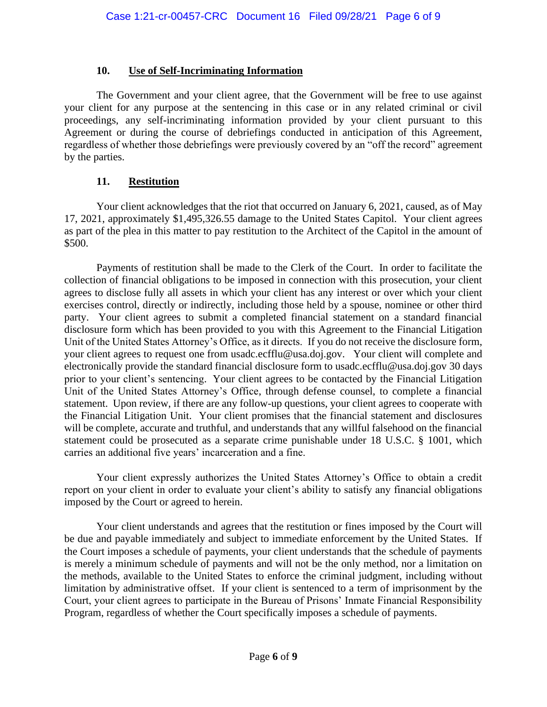## **10. Use of Self-Incriminating Information**

The Government and your client agree, that the Government will be free to use against your client for any purpose at the sentencing in this case or in any related criminal or civil proceedings, any self-incriminating information provided by your client pursuant to this Agreement or during the course of debriefings conducted in anticipation of this Agreement, regardless of whether those debriefings were previously covered by an "off the record" agreement by the parties.

# **11. Restitution**

Your client acknowledges that the riot that occurred on January 6, 2021, caused, as of May 17, 2021, approximately \$1,495,326.55 damage to the United States Capitol. Your client agrees as part of the plea in this matter to pay restitution to the Architect of the Capitol in the amount of \$500.

Payments of restitution shall be made to the Clerk of the Court. In order to facilitate the collection of financial obligations to be imposed in connection with this prosecution, your client agrees to disclose fully all assets in which your client has any interest or over which your client exercises control, directly or indirectly, including those held by a spouse, nominee or other third party. Your client agrees to submit a completed financial statement on a standard financial disclosure form which has been provided to you with this Agreement to the Financial Litigation Unit of the United States Attorney's Office, as it directs. If you do not receive the disclosure form, your client agrees to request one from usadc.ecfflu@usa.doj.gov. Your client will complete and electronically provide the standard financial disclosure form to usadc.ecfflu@usa.doj.gov 30 days prior to your client's sentencing. Your client agrees to be contacted by the Financial Litigation Unit of the United States Attorney's Office, through defense counsel, to complete a financial statement. Upon review, if there are any follow-up questions, your client agrees to cooperate with the Financial Litigation Unit. Your client promises that the financial statement and disclosures will be complete, accurate and truthful, and understands that any willful falsehood on the financial statement could be prosecuted as a separate crime punishable under 18 U.S.C. § 1001, which carries an additional five years' incarceration and a fine.

Your client expressly authorizes the United States Attorney's Office to obtain a credit report on your client in order to evaluate your client's ability to satisfy any financial obligations imposed by the Court or agreed to herein.

Your client understands and agrees that the restitution or fines imposed by the Court will be due and payable immediately and subject to immediate enforcement by the United States. If the Court imposes a schedule of payments, your client understands that the schedule of payments is merely a minimum schedule of payments and will not be the only method, nor a limitation on the methods, available to the United States to enforce the criminal judgment, including without limitation by administrative offset. If your client is sentenced to a term of imprisonment by the Court, your client agrees to participate in the Bureau of Prisons' Inmate Financial Responsibility Program, regardless of whether the Court specifically imposes a schedule of payments.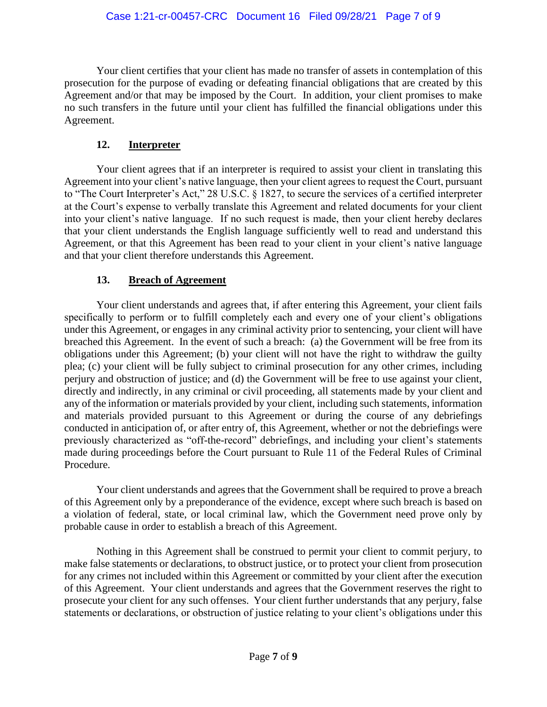Your client certifies that your client has made no transfer of assets in contemplation of this prosecution for the purpose of evading or defeating financial obligations that are created by this Agreement and/or that may be imposed by the Court. In addition, your client promises to make no such transfers in the future until your client has fulfilled the financial obligations under this Agreement.

# **12. Interpreter**

Your client agrees that if an interpreter is required to assist your client in translating this Agreement into your client's native language, then your client agrees to request the Court, pursuant to "The Court Interpreter's Act," 28 U.S.C. § 1827, to secure the services of a certified interpreter at the Court's expense to verbally translate this Agreement and related documents for your client into your client's native language. If no such request is made, then your client hereby declares that your client understands the English language sufficiently well to read and understand this Agreement, or that this Agreement has been read to your client in your client's native language and that your client therefore understands this Agreement.

# **13. Breach of Agreement**

Your client understands and agrees that, if after entering this Agreement, your client fails specifically to perform or to fulfill completely each and every one of your client's obligations under this Agreement, or engages in any criminal activity prior to sentencing, your client will have breached this Agreement. In the event of such a breach: (a) the Government will be free from its obligations under this Agreement; (b) your client will not have the right to withdraw the guilty plea; (c) your client will be fully subject to criminal prosecution for any other crimes, including perjury and obstruction of justice; and (d) the Government will be free to use against your client, directly and indirectly, in any criminal or civil proceeding, all statements made by your client and any of the information or materials provided by your client, including such statements, information and materials provided pursuant to this Agreement or during the course of any debriefings conducted in anticipation of, or after entry of, this Agreement, whether or not the debriefings were previously characterized as "off-the-record" debriefings, and including your client's statements made during proceedings before the Court pursuant to Rule 11 of the Federal Rules of Criminal Procedure.

Your client understands and agrees that the Government shall be required to prove a breach of this Agreement only by a preponderance of the evidence, except where such breach is based on a violation of federal, state, or local criminal law, which the Government need prove only by probable cause in order to establish a breach of this Agreement.

Nothing in this Agreement shall be construed to permit your client to commit perjury, to make false statements or declarations, to obstruct justice, or to protect your client from prosecution for any crimes not included within this Agreement or committed by your client after the execution of this Agreement. Your client understands and agrees that the Government reserves the right to prosecute your client for any such offenses. Your client further understands that any perjury, false statements or declarations, or obstruction of justice relating to your client's obligations under this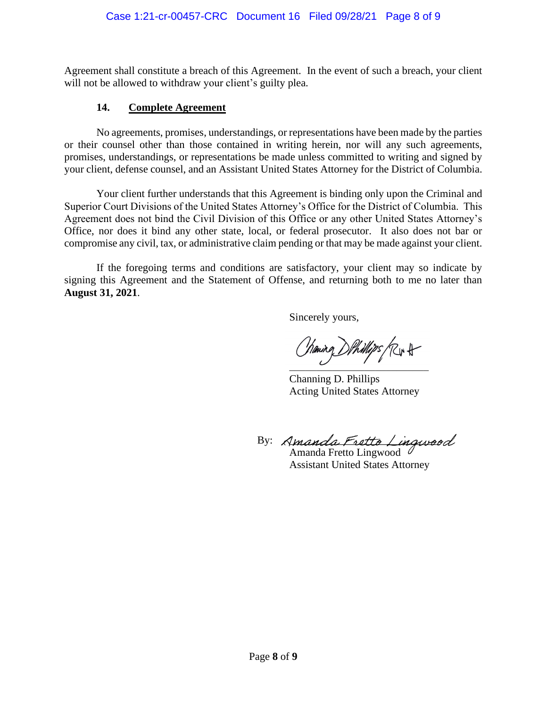Agreement shall constitute a breach of this Agreement. In the event of such a breach, your client will not be allowed to withdraw your client's guilty plea.

#### **14. Complete Agreement**

No agreements, promises, understandings, or representations have been made by the parties or their counsel other than those contained in writing herein, nor will any such agreements, promises, understandings, or representations be made unless committed to writing and signed by your client, defense counsel, and an Assistant United States Attorney for the District of Columbia.

Your client further understands that this Agreement is binding only upon the Criminal and Superior Court Divisions of the United States Attorney's Office for the District of Columbia. This Agreement does not bind the Civil Division of this Office or any other United States Attorney's Office, nor does it bind any other state, local, or federal prosecutor. It also does not bar or compromise any civil, tax, or administrative claim pending or that may be made against your client.

If the foregoing terms and conditions are satisfactory, your client may so indicate by signing this Agreement and the Statement of Offense, and returning both to me no later than **August 31, 2021**.

Sincerely yours,

haning DPhillips (Riv H  $\overline{\phantom{a}}$ 

Channing D. Phillips Acting United States Attorney

By: Amanda Fretto Lingwood

Amanda Fretto Lingwood Assistant United States Attorney